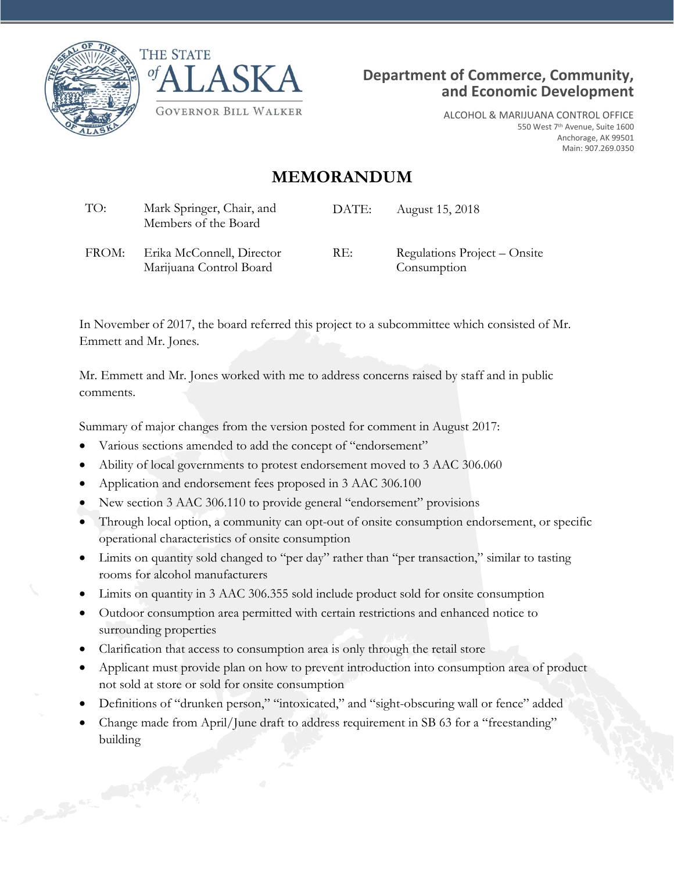





ALCOHOL & MARIJUANA CONTROL OFFICE 550 West 7<sup>th</sup> Avenue, Suite 1600 Anchorage, AK 99501 Main: 907.269.0350

### **MEMORANDUM**

| TO:   | Mark Springer, Chair, and<br>Members of the Board    | DATE: | August 15, 2018                             |
|-------|------------------------------------------------------|-------|---------------------------------------------|
| FROM: | Erika McConnell, Director<br>Marijuana Control Board | RE:   | Regulations Project – Onsite<br>Consumption |

In November of 2017, the board referred this project to a subcommittee which consisted of Mr. Emmett and Mr. Jones.

Mr. Emmett and Mr. Jones worked with me to address concerns raised by staff and in public comments.

Summary of major changes from the version posted for comment in August 2017:

- Various sections amended to add the concept of "endorsement"
- Ability of local governments to protest endorsement moved to 3 AAC 306.060
- Application and endorsement fees proposed in 3 AAC 306.100
- New section 3 AAC 306.110 to provide general "endorsement" provisions
- Through local option, a community can opt-out of onsite consumption endorsement, or specific operational characteristics of onsite consumption
- Limits on quantity sold changed to "per day" rather than "per transaction," similar to tasting rooms for alcohol manufacturers
- Limits on quantity in 3 AAC 306.355 sold include product sold for onsite consumption
- Outdoor consumption area permitted with certain restrictions and enhanced notice to surrounding properties
- Clarification that access to consumption area is only through the retail store
- Applicant must provide plan on how to prevent introduction into consumption area of product not sold at store or sold for onsite consumption
- Definitions of "drunken person," "intoxicated," and "sight-obscuring wall or fence" added
- Change made from April/June draft to address requirement in SB 63 for a "freestanding" building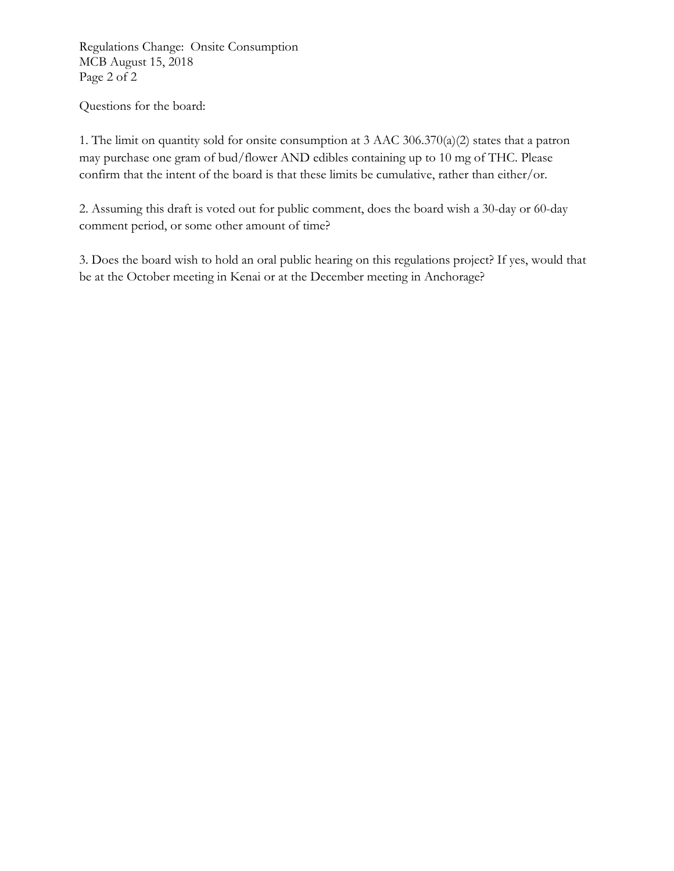Regulations Change: Onsite Consumption MCB August 15, 2018 Page 2 of 2

Questions for the board:

1. The limit on quantity sold for onsite consumption at 3 AAC 306.370(a)(2) states that a patron may purchase one gram of bud/flower AND edibles containing up to 10 mg of THC. Please confirm that the intent of the board is that these limits be cumulative, rather than either/or.

2. Assuming this draft is voted out for public comment, does the board wish a 30-day or 60-day comment period, or some other amount of time?

3. Does the board wish to hold an oral public hearing on this regulations project? If yes, would that be at the October meeting in Kenai or at the December meeting in Anchorage?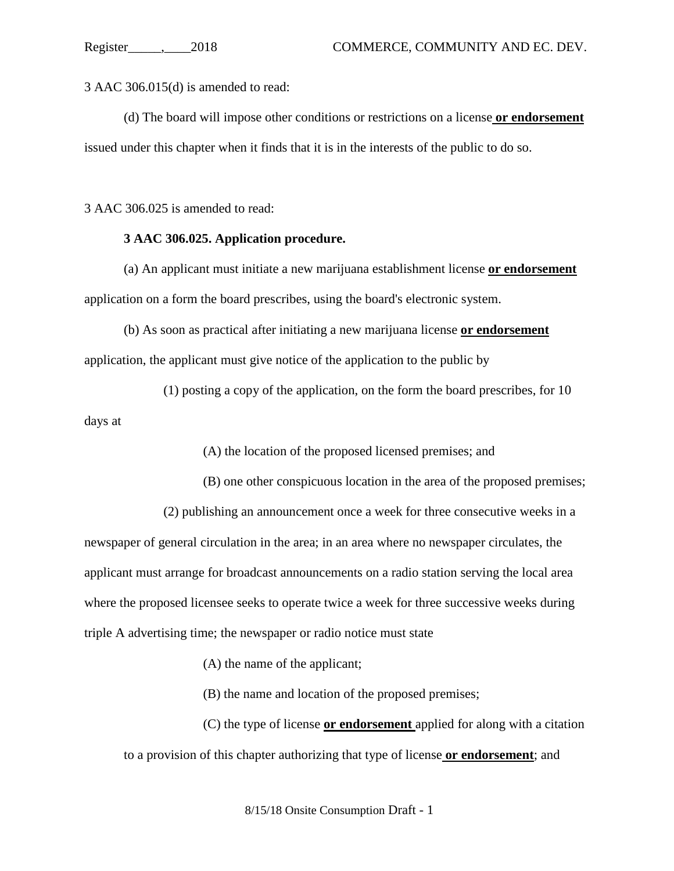3 AAC 306.015(d) is amended to read:

(d) The board will impose other conditions or restrictions on a license **or endorsement** issued under this chapter when it finds that it is in the interests of the public to do so.

3 AAC 306.025 is amended to read:

#### **3 AAC 306.025. Application procedure.**

(a) An applicant must initiate a new marijuana establishment license **or endorsement** application on a form the board prescribes, using the board's electronic system.

(b) As soon as practical after initiating a new marijuana license **or endorsement** application, the applicant must give notice of the application to the public by

(1) posting a copy of the application, on the form the board prescribes, for 10 days at

(A) the location of the proposed licensed premises; and

(B) one other conspicuous location in the area of the proposed premises;

(2) publishing an announcement once a week for three consecutive weeks in a newspaper of general circulation in the area; in an area where no newspaper circulates, the applicant must arrange for broadcast announcements on a radio station serving the local area where the proposed licensee seeks to operate twice a week for three successive weeks during triple A advertising time; the newspaper or radio notice must state

(A) the name of the applicant;

(B) the name and location of the proposed premises;

(C) the type of license **or endorsement** applied for along with a citation to a provision of this chapter authorizing that type of license **or endorsement**; and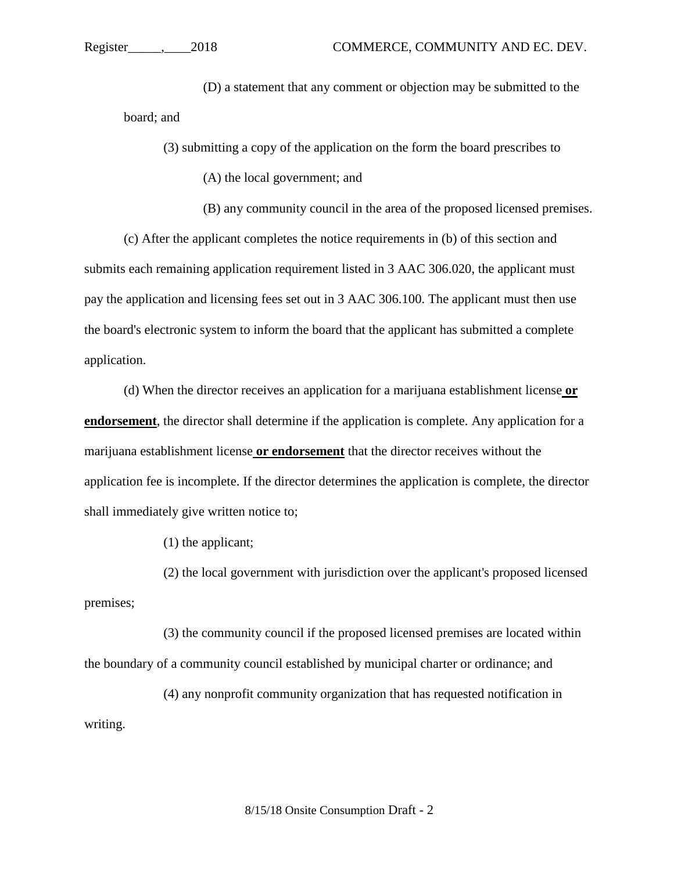(D) a statement that any comment or objection may be submitted to the board; and

(3) submitting a copy of the application on the form the board prescribes to

(A) the local government; and

(B) any community council in the area of the proposed licensed premises.

(c) After the applicant completes the notice requirements in (b) of this section and submits each remaining application requirement listed in 3 AAC 306.020, the applicant must pay the application and licensing fees set out in 3 AAC 306.100. The applicant must then use the board's electronic system to inform the board that the applicant has submitted a complete application.

(d) When the director receives an application for a marijuana establishment license **or endorsement**, the director shall determine if the application is complete. Any application for a marijuana establishment license **or endorsement** that the director receives without the application fee is incomplete. If the director determines the application is complete, the director shall immediately give written notice to;

(1) the applicant;

(2) the local government with jurisdiction over the applicant's proposed licensed premises;

(3) the community council if the proposed licensed premises are located within the boundary of a community council established by municipal charter or ordinance; and

(4) any nonprofit community organization that has requested notification in writing.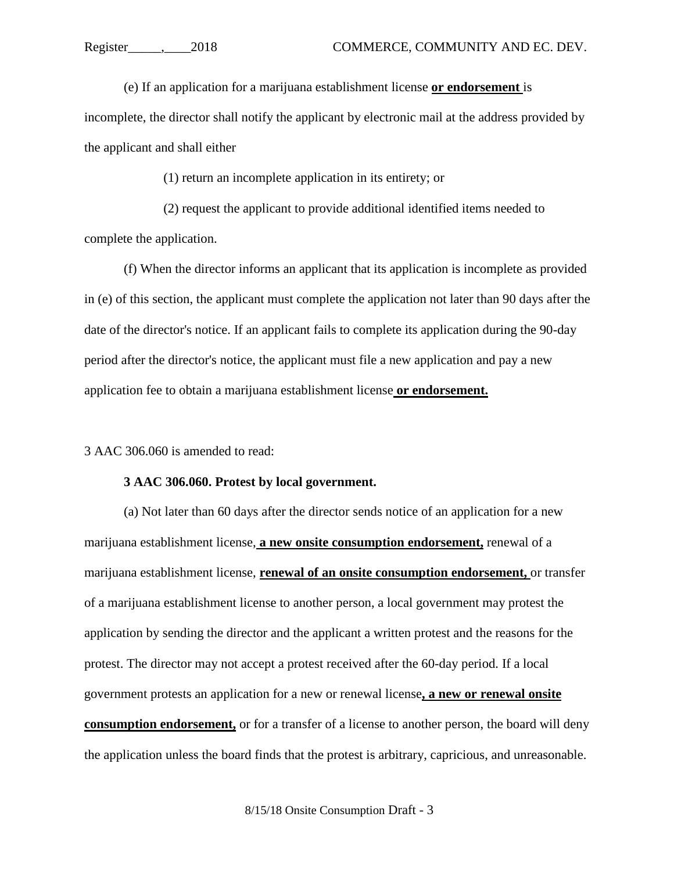(e) If an application for a marijuana establishment license **or endorsement** is

incomplete, the director shall notify the applicant by electronic mail at the address provided by the applicant and shall either

(1) return an incomplete application in its entirety; or

(2) request the applicant to provide additional identified items needed to complete the application.

(f) When the director informs an applicant that its application is incomplete as provided in (e) of this section, the applicant must complete the application not later than 90 days after the date of the director's notice. If an applicant fails to complete its application during the 90-day period after the director's notice, the applicant must file a new application and pay a new application fee to obtain a marijuana establishment license **or endorsement.**

3 AAC 306.060 is amended to read:

#### **3 AAC 306.060. Protest by local government.**

(a) Not later than 60 days after the director sends notice of an application for a new marijuana establishment license, **a new onsite consumption endorsement,** renewal of a marijuana establishment license, **renewal of an onsite consumption endorsement,** or transfer of a marijuana establishment license to another person, a local government may protest the application by sending the director and the applicant a written protest and the reasons for the protest. The director may not accept a protest received after the 60-day period. If a local government protests an application for a new or renewal license**, a new or renewal onsite consumption endorsement,** or for a transfer of a license to another person, the board will deny the application unless the board finds that the protest is arbitrary, capricious, and unreasonable.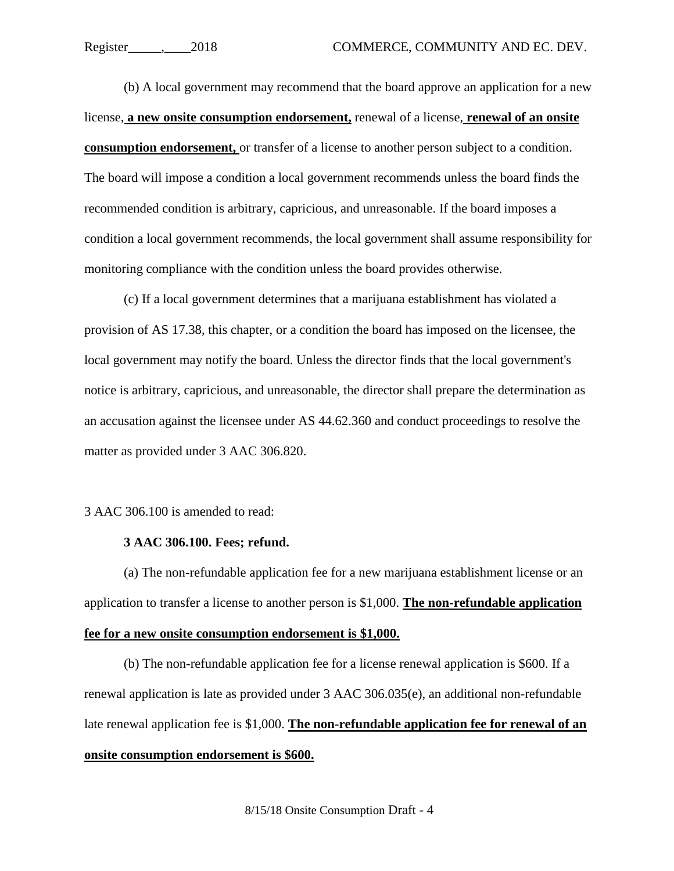(b) A local government may recommend that the board approve an application for a new license, **a new onsite consumption endorsement,** renewal of a license, **renewal of an onsite consumption endorsement,** or transfer of a license to another person subject to a condition. The board will impose a condition a local government recommends unless the board finds the recommended condition is arbitrary, capricious, and unreasonable. If the board imposes a condition a local government recommends, the local government shall assume responsibility for monitoring compliance with the condition unless the board provides otherwise.

(c) If a local government determines that a marijuana establishment has violated a provision of AS 17.38, this chapter, or a condition the board has imposed on the licensee, the local government may notify the board. Unless the director finds that the local government's notice is arbitrary, capricious, and unreasonable, the director shall prepare the determination as an accusation against the licensee under AS 44.62.360 and conduct proceedings to resolve the matter as provided under 3 AAC 306.820.

#### 3 AAC 306.100 is amended to read:

#### **3 AAC 306.100. Fees; refund.**

(a) The non-refundable application fee for a new marijuana establishment license or an application to transfer a license to another person is \$1,000. **The non-refundable application** 

#### **fee for a new onsite consumption endorsement is \$1,000.**

(b) The non-refundable application fee for a license renewal application is \$600. If a renewal application is late as provided under 3 AAC 306.035(e), an additional non-refundable late renewal application fee is \$1,000. **The non-refundable application fee for renewal of an onsite consumption endorsement is \$600.**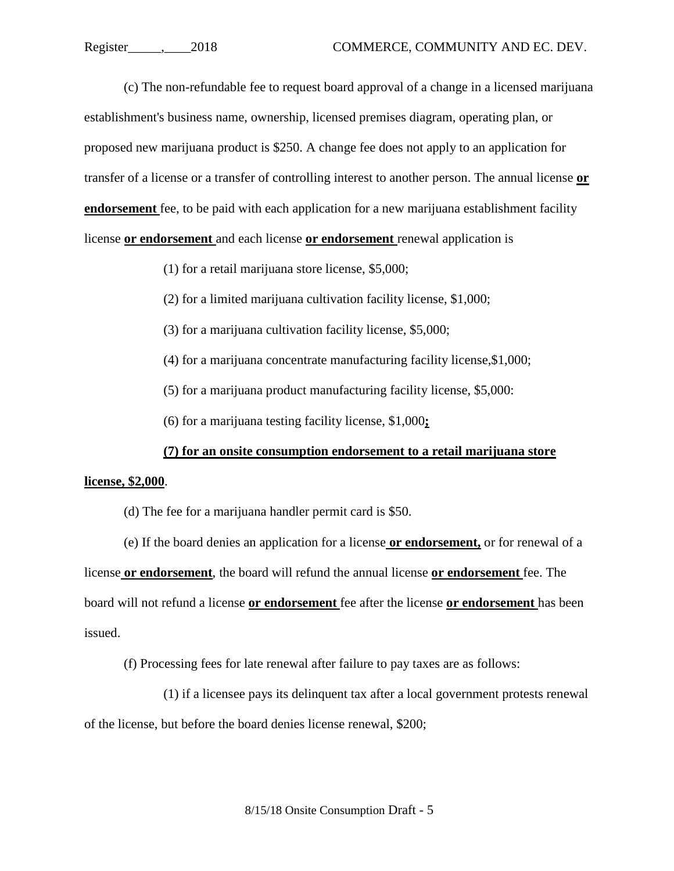(c) The non-refundable fee to request board approval of a change in a licensed marijuana establishment's business name, ownership, licensed premises diagram, operating plan, or proposed new marijuana product is \$250. A change fee does not apply to an application for transfer of a license or a transfer of controlling interest to another person. The annual license **or endorsement** fee, to be paid with each application for a new marijuana establishment facility license **or endorsement** and each license **or endorsement** renewal application is

(1) for a retail marijuana store license, \$5,000;

(2) for a limited marijuana cultivation facility license, \$1,000;

(3) for a marijuana cultivation facility license, \$5,000;

(4) for a marijuana concentrate manufacturing facility license,\$1,000;

(5) for a marijuana product manufacturing facility license, \$5,000:

(6) for a marijuana testing facility license, \$1,000**;**

#### **(7) for an onsite consumption endorsement to a retail marijuana store**

#### **license, \$2,000**.

(d) The fee for a marijuana handler permit card is \$50.

(e) If the board denies an application for a license **or endorsement,** or for renewal of a license **or endorsement**, the board will refund the annual license **or endorsement** fee. The board will not refund a license **or endorsement** fee after the license **or endorsement** has been issued.

(f) Processing fees for late renewal after failure to pay taxes are as follows:

(1) if a licensee pays its delinquent tax after a local government protests renewal of the license, but before the board denies license renewal, \$200;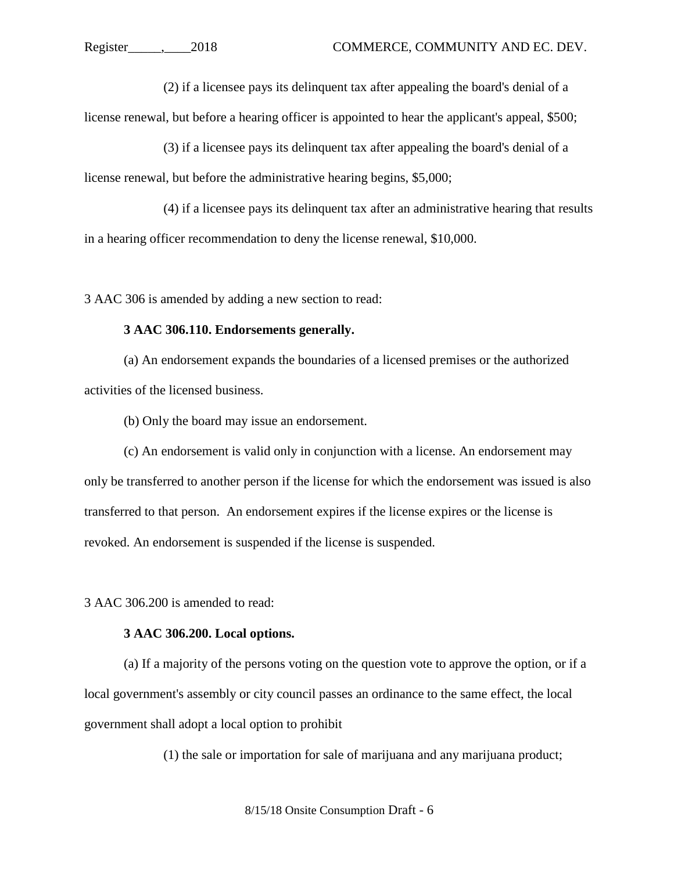(2) if a licensee pays its delinquent tax after appealing the board's denial of a

license renewal, but before a hearing officer is appointed to hear the applicant's appeal, \$500;

(3) if a licensee pays its delinquent tax after appealing the board's denial of a license renewal, but before the administrative hearing begins, \$5,000;

(4) if a licensee pays its delinquent tax after an administrative hearing that results in a hearing officer recommendation to deny the license renewal, \$10,000.

3 AAC 306 is amended by adding a new section to read:

#### **3 AAC 306.110. Endorsements generally.**

(a) An endorsement expands the boundaries of a licensed premises or the authorized activities of the licensed business.

(b) Only the board may issue an endorsement.

(c) An endorsement is valid only in conjunction with a license. An endorsement may only be transferred to another person if the license for which the endorsement was issued is also transferred to that person. An endorsement expires if the license expires or the license is revoked. An endorsement is suspended if the license is suspended.

3 AAC 306.200 is amended to read:

#### **3 AAC 306.200. Local options.**

(a) If a majority of the persons voting on the question vote to approve the option, or if a local government's assembly or city council passes an ordinance to the same effect, the local government shall adopt a local option to prohibit

(1) the sale or importation for sale of marijuana and any marijuana product;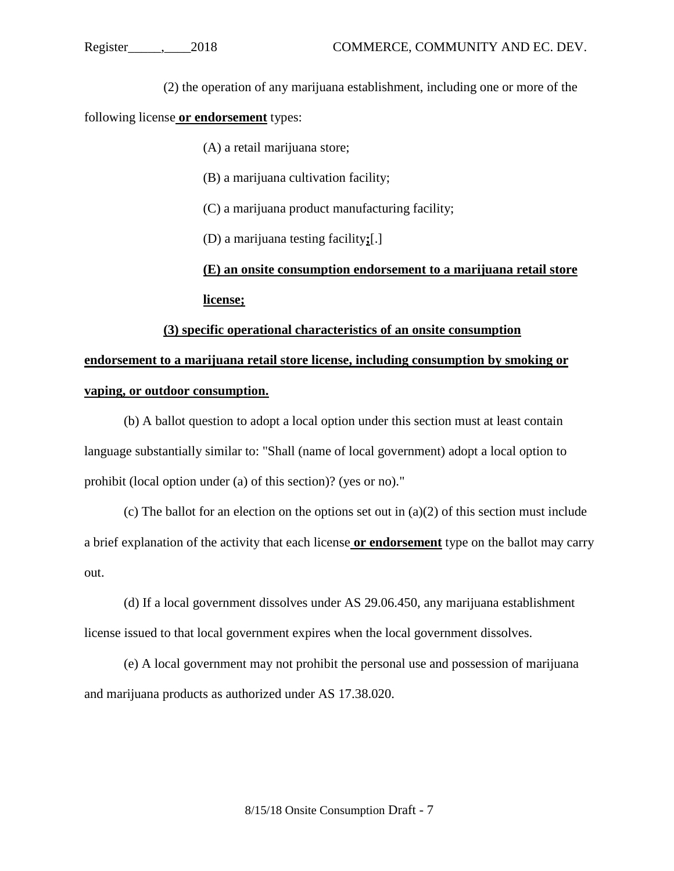(2) the operation of any marijuana establishment, including one or more of the

following license **or endorsement** types:

(A) a retail marijuana store;

- (B) a marijuana cultivation facility;
- (C) a marijuana product manufacturing facility;
- (D) a marijuana testing facility**;**[.]

**(E) an onsite consumption endorsement to a marijuana retail store license;**

## **(3) specific operational characteristics of an onsite consumption endorsement to a marijuana retail store license, including consumption by smoking or vaping, or outdoor consumption.**

(b) A ballot question to adopt a local option under this section must at least contain language substantially similar to: "Shall (name of local government) adopt a local option to prohibit (local option under (a) of this section)? (yes or no)."

(c) The ballot for an election on the options set out in (a)(2) of this section must include a brief explanation of the activity that each license **or endorsement** type on the ballot may carry out.

(d) If a local government dissolves under AS 29.06.450, any marijuana establishment license issued to that local government expires when the local government dissolves.

(e) A local government may not prohibit the personal use and possession of marijuana and marijuana products as authorized under AS 17.38.020.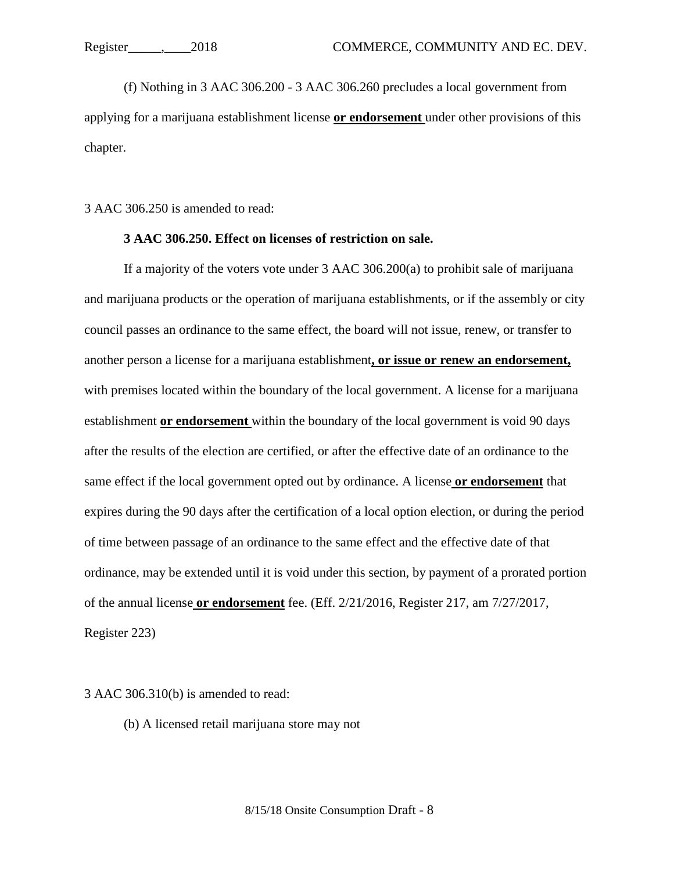(f) Nothing in 3 AAC 306.200 - 3 AAC 306.260 precludes a local government from applying for a marijuana establishment license **or endorsement** under other provisions of this chapter.

3 AAC 306.250 is amended to read:

#### **3 AAC 306.250. Effect on licenses of restriction on sale.**

If a majority of the voters vote under 3 AAC 306.200(a) to prohibit sale of marijuana and marijuana products or the operation of marijuana establishments, or if the assembly or city council passes an ordinance to the same effect, the board will not issue, renew, or transfer to another person a license for a marijuana establishment**, or issue or renew an endorsement,** with premises located within the boundary of the local government. A license for a marijuana establishment **or endorsement** within the boundary of the local government is void 90 days after the results of the election are certified, or after the effective date of an ordinance to the same effect if the local government opted out by ordinance. A license **or endorsement** that expires during the 90 days after the certification of a local option election, or during the period of time between passage of an ordinance to the same effect and the effective date of that ordinance, may be extended until it is void under this section, by payment of a prorated portion of the annual license **or endorsement** fee. (Eff. 2/21/2016, Register 217, am 7/27/2017, Register 223)

3 AAC 306.310(b) is amended to read:

(b) A licensed retail marijuana store may not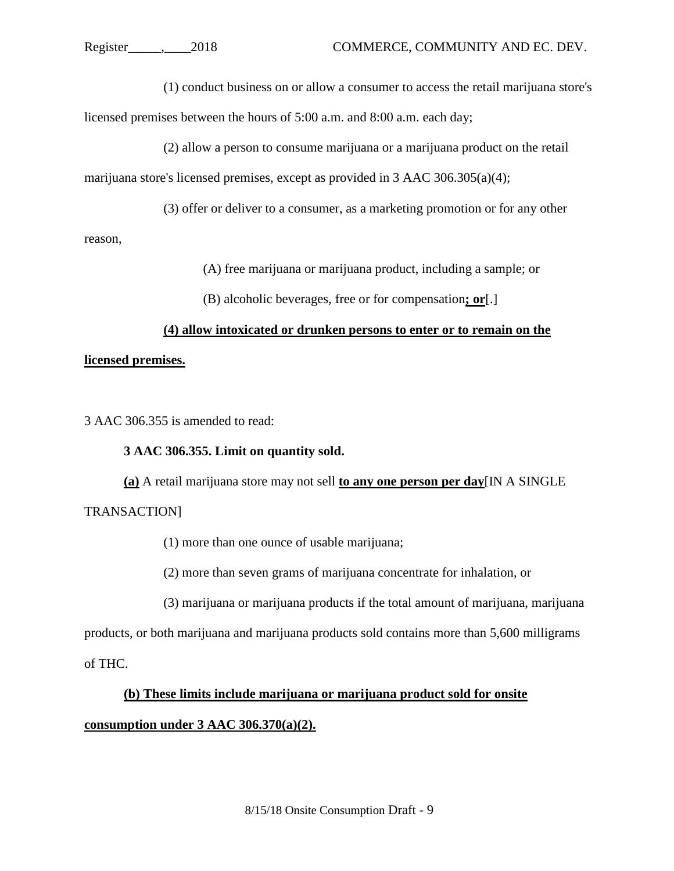(1) conduct business on or allow a consumer to access the retail marijuana store's licensed premises between the hours of 5:00 a.m. and 8:00 a.m. each day;

(2) allow a person to consume marijuana or a marijuana product on the retail marijuana store's licensed premises, except as provided in 3 AAC 306.305(a)(4);

(3) offer or deliver to a consumer, as a marketing promotion or for any other

reason,

(A) free marijuana or marijuana product, including a sample; or

(B) alcoholic beverages, free or for compensation**; or**[.]

# **(4) allow intoxicated or drunken persons to enter or to remain on the**

#### **licensed premises.**

3 AAC 306.355 is amended to read:

#### **3 AAC 306.355. Limit on quantity sold.**

**(a)** A retail marijuana store may not sell **to any one person per day**[IN A SINGLE TRANSACTION]

(1) more than one ounce of usable marijuana;

(2) more than seven grams of marijuana concentrate for inhalation, or

(3) marijuana or marijuana products if the total amount of marijuana, marijuana

products, or both marijuana and marijuana products sold contains more than 5,600 milligrams

of THC.

#### **(b) These limits include marijuana or marijuana product sold for onsite**

#### **consumption under 3 AAC 306.370(a)(2).**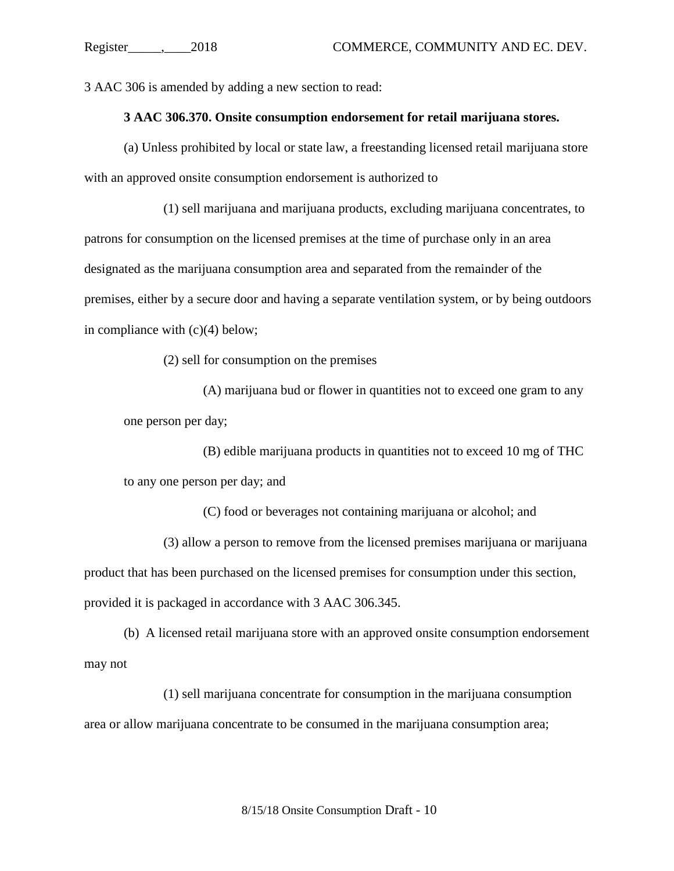3 AAC 306 is amended by adding a new section to read:

#### **3 AAC 306.370. Onsite consumption endorsement for retail marijuana stores.**

(a) Unless prohibited by local or state law, a freestanding licensed retail marijuana store with an approved onsite consumption endorsement is authorized to

(1) sell marijuana and marijuana products, excluding marijuana concentrates, to patrons for consumption on the licensed premises at the time of purchase only in an area designated as the marijuana consumption area and separated from the remainder of the premises, either by a secure door and having a separate ventilation system, or by being outdoors in compliance with (c)(4) below;

(2) sell for consumption on the premises

(A) marijuana bud or flower in quantities not to exceed one gram to any one person per day;

(B) edible marijuana products in quantities not to exceed 10 mg of THC to any one person per day; and

(C) food or beverages not containing marijuana or alcohol; and (3) allow a person to remove from the licensed premises marijuana or marijuana product that has been purchased on the licensed premises for consumption under this section, provided it is packaged in accordance with 3 AAC 306.345.

(b) A licensed retail marijuana store with an approved onsite consumption endorsement may not

(1) sell marijuana concentrate for consumption in the marijuana consumption area or allow marijuana concentrate to be consumed in the marijuana consumption area;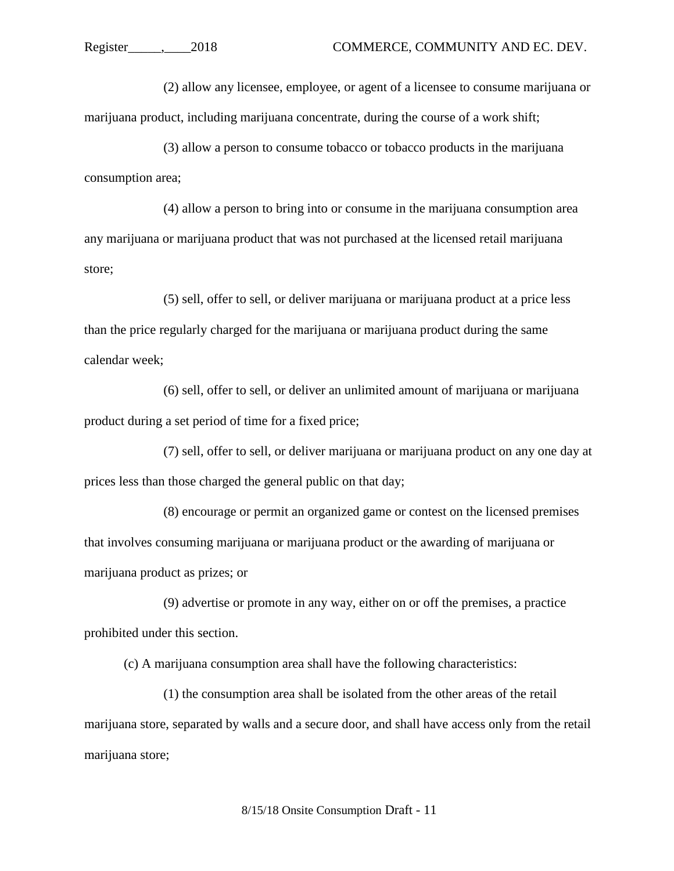(2) allow any licensee, employee, or agent of a licensee to consume marijuana or marijuana product, including marijuana concentrate, during the course of a work shift;

(3) allow a person to consume tobacco or tobacco products in the marijuana consumption area;

(4) allow a person to bring into or consume in the marijuana consumption area any marijuana or marijuana product that was not purchased at the licensed retail marijuana store;

(5) sell, offer to sell, or deliver marijuana or marijuana product at a price less than the price regularly charged for the marijuana or marijuana product during the same calendar week;

(6) sell, offer to sell, or deliver an unlimited amount of marijuana or marijuana product during a set period of time for a fixed price;

(7) sell, offer to sell, or deliver marijuana or marijuana product on any one day at prices less than those charged the general public on that day;

(8) encourage or permit an organized game or contest on the licensed premises that involves consuming marijuana or marijuana product or the awarding of marijuana or marijuana product as prizes; or

(9) advertise or promote in any way, either on or off the premises, a practice prohibited under this section.

(c) A marijuana consumption area shall have the following characteristics:

(1) the consumption area shall be isolated from the other areas of the retail marijuana store, separated by walls and a secure door, and shall have access only from the retail marijuana store;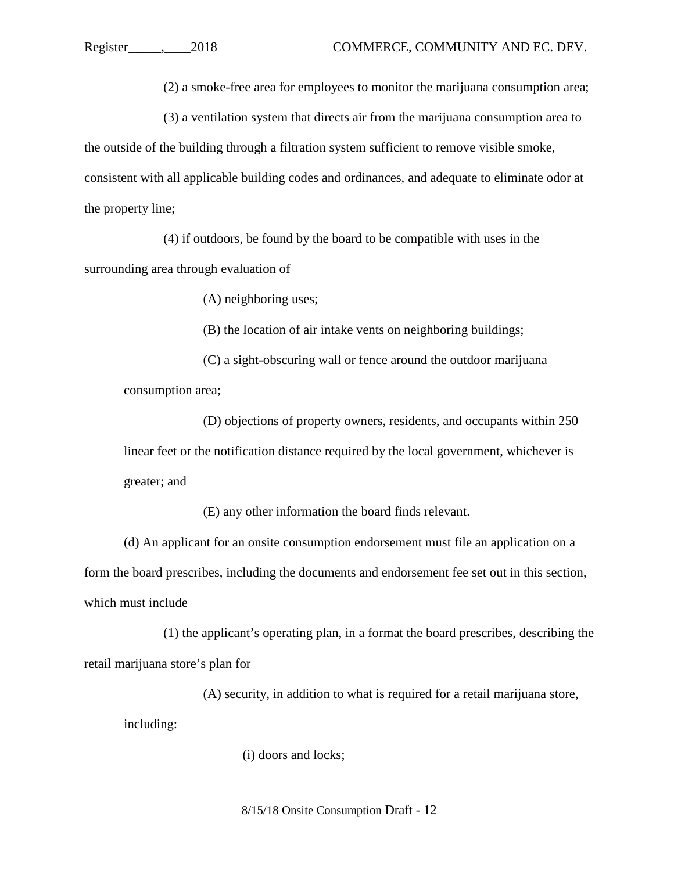(2) a smoke-free area for employees to monitor the marijuana consumption area;

(3) a ventilation system that directs air from the marijuana consumption area to the outside of the building through a filtration system sufficient to remove visible smoke, consistent with all applicable building codes and ordinances, and adequate to eliminate odor at the property line;

(4) if outdoors, be found by the board to be compatible with uses in the surrounding area through evaluation of

(A) neighboring uses;

(B) the location of air intake vents on neighboring buildings;

(C) a sight-obscuring wall or fence around the outdoor marijuana consumption area;

(D) objections of property owners, residents, and occupants within 250 linear feet or the notification distance required by the local government, whichever is greater; and

(E) any other information the board finds relevant.

(d) An applicant for an onsite consumption endorsement must file an application on a form the board prescribes, including the documents and endorsement fee set out in this section, which must include

(1) the applicant's operating plan, in a format the board prescribes, describing the retail marijuana store's plan for

(A) security, in addition to what is required for a retail marijuana store,

including:

(i) doors and locks;

8/15/18 Onsite Consumption Draft - 12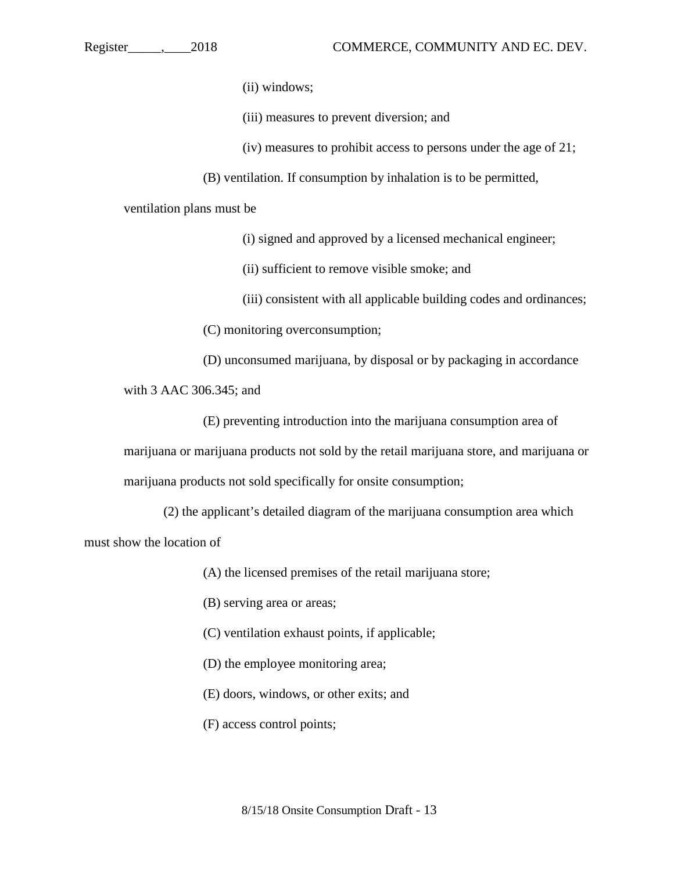(ii) windows;

(iii) measures to prevent diversion; and

(iv) measures to prohibit access to persons under the age of 21;

(B) ventilation. If consumption by inhalation is to be permitted,

ventilation plans must be

(i) signed and approved by a licensed mechanical engineer;

(ii) sufficient to remove visible smoke; and

(iii) consistent with all applicable building codes and ordinances;

(C) monitoring overconsumption;

(D) unconsumed marijuana, by disposal or by packaging in accordance

with 3 AAC 306.345; and

(E) preventing introduction into the marijuana consumption area of marijuana or marijuana products not sold by the retail marijuana store, and marijuana or marijuana products not sold specifically for onsite consumption;

(2) the applicant's detailed diagram of the marijuana consumption area which must show the location of

- (A) the licensed premises of the retail marijuana store;
- (B) serving area or areas;
- (C) ventilation exhaust points, if applicable;
- (D) the employee monitoring area;
- (E) doors, windows, or other exits; and
- (F) access control points;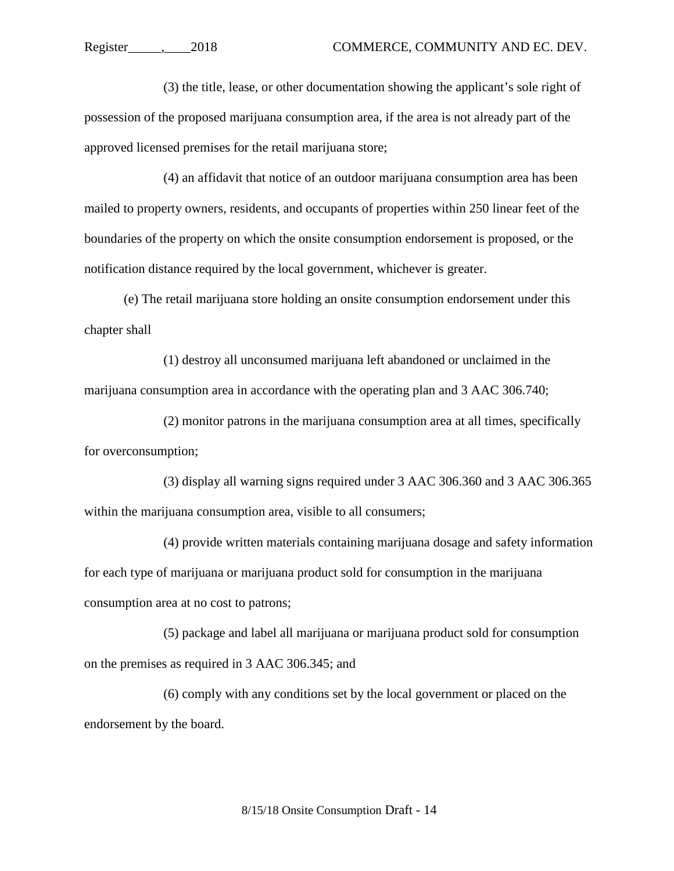(3) the title, lease, or other documentation showing the applicant's sole right of possession of the proposed marijuana consumption area, if the area is not already part of the approved licensed premises for the retail marijuana store;

(4) an affidavit that notice of an outdoor marijuana consumption area has been mailed to property owners, residents, and occupants of properties within 250 linear feet of the boundaries of the property on which the onsite consumption endorsement is proposed, or the notification distance required by the local government, whichever is greater.

(e) The retail marijuana store holding an onsite consumption endorsement under this chapter shall

(1) destroy all unconsumed marijuana left abandoned or unclaimed in the marijuana consumption area in accordance with the operating plan and 3 AAC 306.740;

(2) monitor patrons in the marijuana consumption area at all times, specifically for overconsumption;

(3) display all warning signs required under 3 AAC 306.360 and 3 AAC 306.365 within the marijuana consumption area, visible to all consumers;

(4) provide written materials containing marijuana dosage and safety information for each type of marijuana or marijuana product sold for consumption in the marijuana consumption area at no cost to patrons;

(5) package and label all marijuana or marijuana product sold for consumption on the premises as required in 3 AAC 306.345; and

(6) comply with any conditions set by the local government or placed on the endorsement by the board.